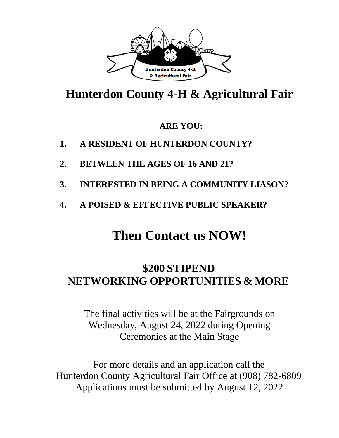

# **Hunterdon County 4-H & Agricultural Fair**

# **ARE YOU:**

- **1. A RESIDENT OF HUNTERDON COUNTY?**
- **2. BETWEEN THE AGES OF 16 AND 21?**
- **3. INTERESTED IN BEING A COMMUNITY LIASON?**
- **4. A POISED & EFFECTIVE PUBLIC SPEAKER?**

# **Then Contact us NOW!**

# **\$200 STIPEND NETWORKING OPPORTUNITIES & MORE**

The final activities will be at the Fairgrounds on Wednesday, August 24, 2022 during Opening Ceremonies at the Main Stage

For more details and an application call the Hunterdon County Agricultural Fair Office at (908) 782-6809 Applications must be submitted by August 12, 2022